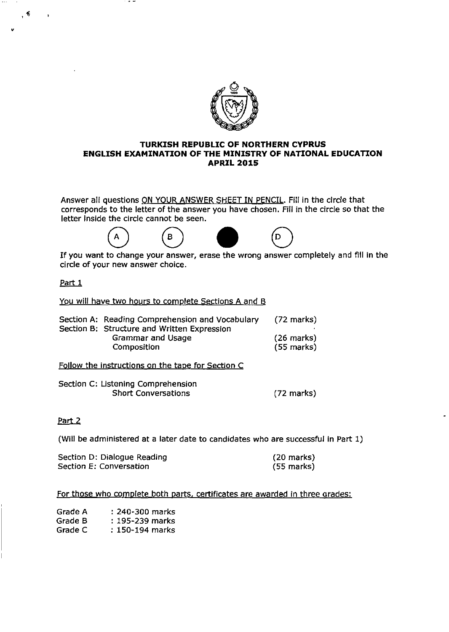

#### **TURKISH REPUBLIC OF NORTHERN CYPRUS ENGLISH EXAMZNATION OF THE MINISTRY OF NAT**İ**ONAL EDUCAT**İ**ON APRIL 2015**

Answer all questions ON YOUR ANSWER SHEET IN PENCIL. Fill in the circle that corresponds to the letter of the answer you have chosen. Fili in the circle so that the letter inside the circle cannot be seen. UBLIC OF NORTHERN CYPR<br>
THE MINISTRY OF NATION<br>
APRIL 2015<br>
WER SHEET IN PENCIL. Fill in the<br>
wer you have chosen. Fill in the<br>
erase the wrong answer comp<br>
erase the wrong answer comp



 $-$ 



If you want to change your answer, erase the wrong answer compieteiy and fili in the circie of your new answer choice.

#### Part 1

't

 $\,$  ,  $\,$ 

You will have two hours to complete Sections A and B

| Section A: Reading Comprehension and Vocabulary<br>Section B: Structure and Written Expression | (72 marks)                           |
|------------------------------------------------------------------------------------------------|--------------------------------------|
| <b>Grammar and Usage</b><br>Composition                                                        | $(26 \text{ marks})$<br>$(55$ marks) |

Follow the instructions on the tape for Section C

| Section C: Listening Comprehension |                      |
|------------------------------------|----------------------|
| <b>Short Conversations</b>         | $(72 \text{ marks})$ |

#### Part 2

(Will be administered at a later date to candidates who are successful in Part 1)

| Section D: Dialogue Reading | $(20$ marks) |
|-----------------------------|--------------|
| Section E: Conversation     | (55 marks)   |

For those who complete both parts, certificates are awarded in three grades:

| Grade A  | : 240-300 marks |
|----------|-----------------|
| Grade Bl | : 195-239 marks |
| Grade C  | : 150-194 marks |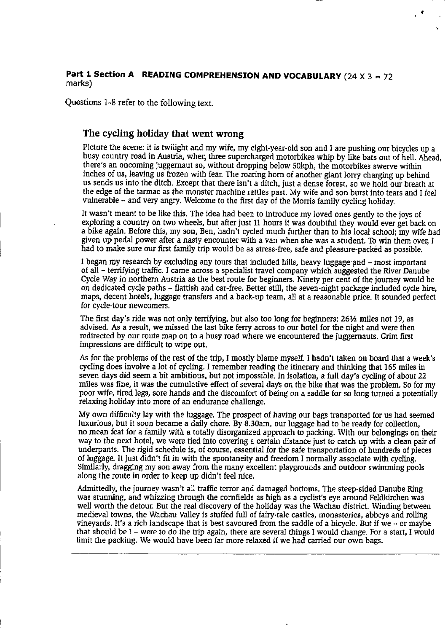#### **Part 1 Section A READING COMPREHENSION AND VOCABULARY (24 X 3 = 72)** marks)

Questions 1-8 refer to the following text.

#### The cycling holiday that went wrong

Picture the scene: it is twilight and my wife, my eight-year-old son and I are pushing our bicycles up a busy country road in Austria, wheq three supercharged motorbikes whip by ilke bats out of heli. Ahead, there's an oncoming juggernaut so, without dropping below 50kph, the motorbikes swerve within inches of us, leaving us frozen with fear. The roaring horn of another giant lorry charging up behind us sends us into the ditch. Except that there isn't a ditch, just a dense forest, so we hold our breath at the edge of the tarmac as the monster machine rattles past. My wife and son burst into tears and 1 feel vulnerable  $-$  and very angry. Welcome to the first day of the Morris family cycling holiday.

<sup>İ</sup>t wasn't meant to be ilke this. The idea had been to introduce my loved ones gentiy to the joys of exploring a country on two wheels, but after just 11 hours it was doubtful they would ever get back on a bike again. Before this, my son, Ben, hadn't cycled much further than to his local school; my wife had given up pedal power after a nasty encounter with a van when she was a student. To win them over, I had to make sure our first family trip would be as stress-free, safe and pleasure-packed as possible.

1 began my research by excluding any tours that included hills, heavy luggage and - most important of al! - terrifying traffic. 1 came across a specialist travel company which suggested the River Danube Cycle Way in northern Austria as the best route for beginners. Ninety per cent of the joumey would be on dedicated cycie paths - flattish and car-free. Better stili, the seven-night package included cycle hire, maps, decent hoteis, iuggage transfers and a back-up team, alI at a reasonable price. İt sounded perfect for cycle-tour newcomers.

The first day's ride was not only terrifying, but also too long for beginners: 26½ miles not 19, as advjsed. As a result, we missed the last bike ferry across to our hotel for the night and were then redirected by our route map on to a busy road where we encountered the juggernauts. Grim first impressions are difficult to wipe out.

As for the probİems of the rest of the tüp, 1 mostly blame myself. 1 hadn't taken on board that a week's cycling does invoive a bt of cycling. 1 remember reading the itinerary and thinking that 165 miles in seven days did seem a bit ambitious, but not impossihle. İn isolation, a full day's cycling of about 22 miles was fine, it was the cumulative effect of several days on the bike that was the problem. So for my poor wife, tired legs, sore hands and the discomfort of being on a saddle for so long turned a potentially relaxing holiday into more of an endurance challenge.

My own difficulty bay with the luggage. The prospect of having our bags transported for us had seemed Iuxurious, but it **500»** became a daily chore. By 8.30arn, our luggage had to be ready for callection, no mean feat for a family with a totally disorganized approach to packing. With our belongings on their way to the next hotel, we were tied into covering a certain distance just to catch up with a clean pair of underpants. The rigid schedule is, of course, essential for the safe transportation of hundreds of pieces of luggage. İt just didn't fit in with the spontaneity and freedom 1 normally associate with cycling. Similarly, dragging my son away from the many excellent playgrounds and outdoor swimming pools along the route in order to keep up didn't feel nice.

Admittedly, the journey wasn't all traffic terror and damaged bottoms. The steep-sided Danube Ring was stunning, and whizzing through the cornfields as high as a cydist's eye around Feldkirchen was weil worth the detour. But the real discovery of the holiday was the Wachau district. Winding between medieval towns, the Wachau Valley is stuffed fuli of fairy-tale castles, monasterles, abbeys and rolling vineyards. It's a rich landscape that is best savoured from the saddle of a bicycle. But if we - or maybe that should be I - were to do the trip again, there are several things I would change. For a start, I would limit the packing. We would have been far more relaxed if we had carried our own bags.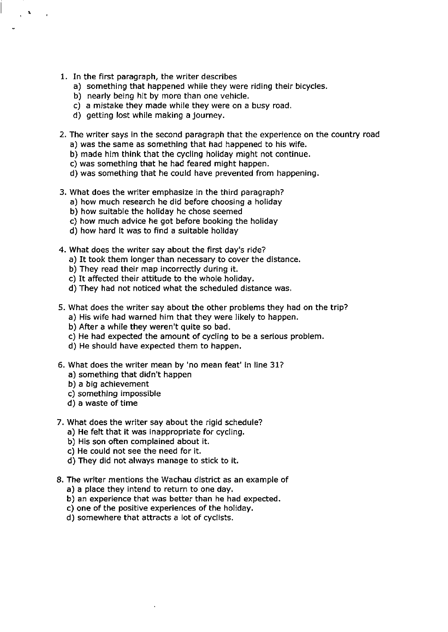1. in the first paragraph, the writer describes

 $\mathbf{u}_i$ 

- a) something that happened while they were riding their bicycles.
- b) neariy being hit by more than one vehicle.
- c) a mistake they made while they were on a busy road.
- d) getting lost while making a journey.
- 2. The writer says in the second paragraph that the experience on the country road a) was the same as something that had happened to his wife.
	- b) made him think that the cycling holiday might not continue.
	- c) was something that he had feared might happen.
	- d) was something that he could have prevented from happening.
- 3. What does the writer emphasize in the third paragraph?
	- a) how much research he did before choosing a holiday
	- b) how suitable the holiday he chose seemed
	- c) how much advice he got before booking the holiday
	- d) how hard it waş to find a suitable holiday
- 4. What does the writer say about the first day's ride?
	- a) It took them longer than necessary to cover the distance.
	- b) They read their map incorrectly during it.
	- c) İt affected their attitude to the whole holiday.
	- d) They had not noticed what the scheduled distance was.
- 5. What does the writer say about the other problems they had on the trip?
	- a) His wife had warned him that they were likely to happen.
	- b) After a while they weren't quite so bad.
	- c) He had expected the amount of cycling to be a serious problem.
	- d) He should have expected thern to happen.
- 6. What does the writer mean by 'no mean feat' in line 31?
	- a) something that didn't happen
	- b) a big achievement
	- c) something impossible
	- d) a waste of time
- 7. What does the writer say about the rigid schedule?
	- a) He feit that it was inappropriate for cycling.
	- b) His son often complained about it.
	- c) He could not see the need for it.
	- d) They did not always manage to stick to it.
- 8. The writer mentions the Wachau district as an example of
	- a) a place they intend to return to one day.
	- b) an experience that was better than he had expected.
	- c) one of the positive experiences of the holiday.
	- d) somewhere that attracts a lot of cyclists.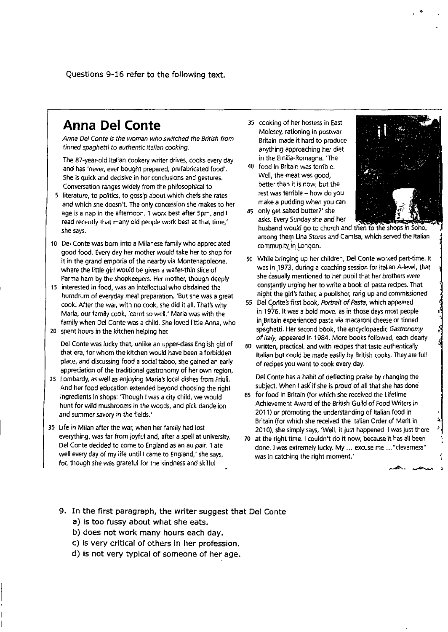# **Anna Dei Conte**

*Anna Dei Conte is the woman who switched the British from*  tinned spaghetti to authentic Italian cooking.

The 87-year-oid Italian cookery writer drives, cooks every day and has 'never, ever bought prepared, prefabricated food'. She is guick and decisive in her conclusions and gestures. Conversation ranges widely from the philosophical to

- 5 literature, to politics, to gossip about which chefs she rates and which she doesn't. The oniy concession she makes to her age is a nap in the afternoon. 'I work best after 5pm, and I read recentiy that many oid people work best at that time,' she says.
- 10 Dei Conte was born into a Milanese famiiy who appreciated good food. Every day her mother would take her to shop for it in the grand emporia of the nearby via Montenapoieone, where the little gir! wouid be giyen a wafer-thin siice of Parma ham by the shopkeepers. Her mother, though deepiy
- 15 interested in food, was an inteliectuai who disdained the humdrum of everyday meal preparation. 'But she was a great cook. After the war, with no cook, she did it all. That's why Maria, our famiiy cook, Iearnt so weli.' Maria was with the family when Del Conte was a child. She loved little Anna, who 20 spent hours in the kitchen heiping her.
	- Del Conte was lucky that, unlike an upper-class English girl of that era, for whom the kitchen would have been a forbidden place, and discussing food a social taboo, she gained an early appredation of the traditional gastronomy of her own region,
- **25** Lombardy, as welt as enjoying Maria's local dishes fronı Friuli. And her food education extended beyond choosing the right ingredients in shops: 'Though t was a city child, we would huni for wild mushrooms in the woods, and pick dandelion and summer savory in the fields.'
- 30 Life in Milan after the war, when her family had lost everything, was far from joyful and, after a spell at university, Del Conte decided to come to England as an au pair. 'I ate weil every day of my life untii 1 came to England,' she says, for. though she was grateful for the kindness and skilful
- **35**  cooking of her hostess in East Molesey, rationing in postwar Britain made it hard to produce anything approaching her diet in the Emilia-Romagna. 'The
- **40**  food in Britain was terrible. Well, the meat was good, better than it is now, but the rest was terrible - how do you make a pudding when you can



- **45**  oniy get salted butter?' she asks. Every Sunday she and her husband would go to church and then to the shops in Soho. among them Lina Stores and Camisa, which served the Italian community in London.
- 50 White bringinğ up her children, Dei Conte worked pan-time. it was in 1973, during a coaching session for Italian A-level, that she casually mentioned to her pupil that her brothers were constantly urging her to write a book of pasta recipes. That night the giri's father, a publisher, rarig up and commissioned
- 55 Dei çorlte's first book, *Portrait of Pasta,* which appeared in 1976. It was a bold move, as in those days most people in Britain experienced pasta via macaroni cheese or tinned spaghetti. Her second böok, the gncyclopaedic *Gastronomy*  of *Itaiy,* appeared in 1984. More books foilowed, each clearly
- 60 written, practicai, and with recipes that taste authentically Italian but could be made easily by British cooks. They are full of recipes you want to cook every day.

Dei Conte has a habit of deflecting praise by changing the subject. When I ask if she is proud of all that she has done

- 65 for food in Britain (for which she received the Lifetime Achievement Award of the British Guild of Food Writers in 2011) or prornoting the understanding of Italian food in Britain (for which she received the Italian Order of Merit in 2010), she simply says, 'Well, it just happened. I was just there
- **70**  at the right time. 1 couidn't da it now, because it has alt been done. 1 was extremely lucky. My ... excuse me ... " cleverness" was in catching the right moment.'
- 9. in the *first* paragraph, the writer suggest that Dei Conte
	- a) is too fussy about what she eats.
	- b) does not work many hours each day.
	- c) is very criticai of others in her profession.
	- d) is not very typicai of someone of her age.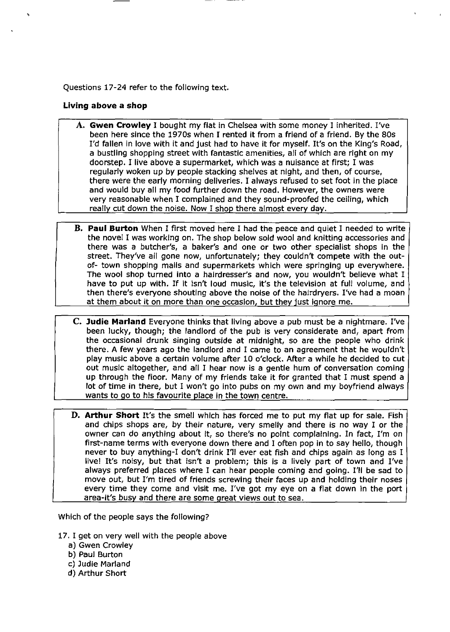Questions **17-24** refer to the foliowing text.

#### Living above a shop

- A. Gwen Crowley I bought my flat in Chelsea with some money I inherited. I've been bere since the 1970s when 1 rented it from a friend of a friend. By the BOs I'd fallen in love with it and just had to have it for myself. It's on the King's Road, a bustling shopping street with fantastic amenities, all of which are right on my doorstep. 1 live above a supermarket, which was a nuisance at first; 1 was regularly woken up by people stacking shelves at night, and then, of course, there were the eariy morning dellveries. 1 always refused to set foot in the place and would buy ali my food further down the road. However, the owners were very reasonable when T complained and they sound-proofed the ceiling, which really cut down the noise. Now I shop there almost every day.
- **B. Paul Burton** When I first moved here I had the peace and quiet I needed to write the novel T was working on. The shop below soid wool and knitting accessories and there was a butcher's, a baker's and one or two other specialist shops in the street. They've all gone now, unfortunately; they couldn't compete with the outof- town shopping malis and supermarkets which were springing up everywhere. The wool shop turned into a hairdresser's and now, you wouldn't believe what 1 have to put up with. If it isn't loud music, it's the television at full volume, and then there's everyone shouting above the noise of the hairdryers. I've had a moan at them about it on more than one occasion, but they just ignore me.
- C. 3udie Marland Everyone thinks that living above a pub must be a nightmare. I've been lucky, though; the landiord of the pub is very considerate and, apart from the occasionai drunk singing outside at rnidnight, so are the people who drink there. A few years ago the landlord and 1 came to an agreernent that he wouldn't play music above a certain volume after 10 o'clock. After a while he decided to cut out music altogether, and all I hear now is a gentle hum of conversation coming up through the fioor. Many of my friends take it for granted that 1 must spend a bt of time in there, but 1 won't go into pubs on my own and my boyfriend always wants to go to his favourite place in the town centre.
- D. Arthur Short It's the smell which has forced me to put my flat up for sale. Fish and chips shops are, by their nature, very smelly and there is no way I or the owner can do anything about it, so there's no point complaining. İn fact, I'm on first-name terrns with everyone down there and 1 often pop in to say hello, though never to buy anything-I don't drink I'II ever eat fish and chips again as long as 1 livel It's noisy, but that isn't a problem; this is a lively part of town and I've always preferred piaces where T can hear people coming and going. I'li be sad to move out, but I'm tired of friends screwing their faces up and holding their noses every time they come and visit me. I've got my eye on a fiat down in the port area-it's busy and there are some great views out to sea.

Which of the people says the following?

- 17. 1 get on very weil with the people above
	- a) Gwen Crowiey
	- b) Paul Burton
	- c) Judje Marland
	- d) Arthur Short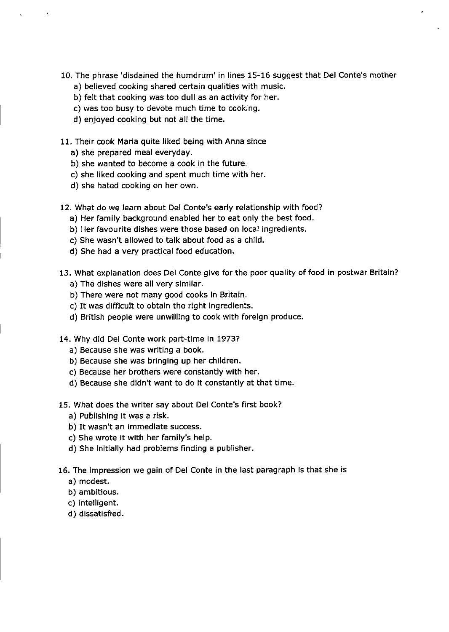- 10. The phrase 'disdained the humdrum' in lines 15-16 suggest that Dei Conte's mother a) believed cooking shared certain qualities with music.
	- b) feit that cooking was too duli as an activity for her.
	- c) was too busy to devote much time to cooking.
	- d) enjoyed cooking but not ali the time.
- 11. Their cook Maria quite iiked being with Anna since
	- a) she prepared meal everyday.
	- b) she wanted to become a cook in the future.
	- c) she liked cooking and spent much time with her.
	- d) she hated cooking on her own.
- 12. What do we learn about Del Conte's early relationship with food?
	- a) Her famiiy background enabled her to eat oniy the best food.
	- b) Her favourite dishes were those based on iocai ingredients.
	- c) She wasn't aliowed to taik about food as a chiid.
	- d) She had a very practicai food education.
- 13. What expianation does Dei Conte give for the poor quaiity of food in postwar Britain?
	- a) The dishes were all very similar.
	- b) There were not many good cooks in Britain.
	- c) İt was difficult to obtain the right ingredients.
	- d) British people were unwilling to cook with foreign produce.
- 14. Why did Dei Conte work part-time in 1973?
	- a) Because she was writing a book.
	- b) Because she was bringing up her children.
	- c) Because her brothers were constantiy with her.
	- d) Because she didn't want to do it constantiy at that time.
- 15. What does the writer say about Dei Conte's first book?
	- a) Publishing it was a risk.
	- b) It wasn't an immediate success.
	- c) She wrote it with her family's heip.
	- d) She initially had problems finding a publisher.
- 16. The impression we gain of Del Conte in the last paragraph is that she is
	- a) modest.
	- b) ambitious.
	- c) intelligent.
	- d) dissatisfied.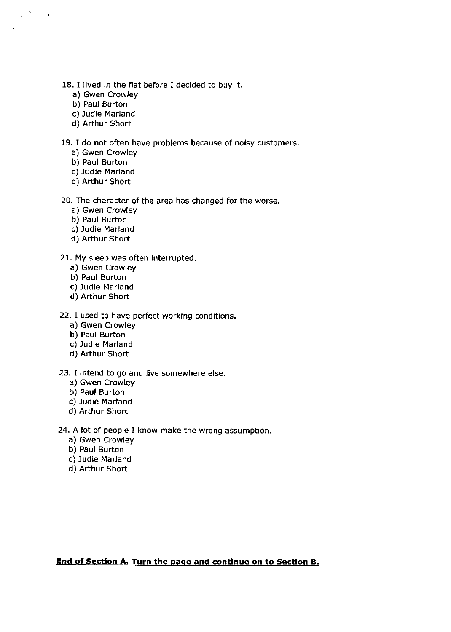- 18. 1 lived in the fiat before T decided to buy it.
	- a) Gwen Crowley
	- b) Paul Burton

 $\frac{1}{2}$  ,  $\frac{1}{2}$ 

 $\sim 10$ 

- c) Judie Marland
- d) Arthur Short

19. 1 dc not often have problems because of noisy customers.

- a) Gwen Crowley
- b) Paul Burton
- c) Judie Marland
- d) Arthur Short

#### 20. The character of the area has changed for the worse.

- a) Gwen Crowley
- b) Paul Burton
- c) Judie Marland
- d) Arthur Short
- 21. My sleep was often interrupted.
	- a) Gwen Crowley
	- b) Paul Burton
	- c) Judle Marland
	- d) Arthur Short
- 22. 1 used to have perfect working conditions.
	- a) Gwen Crowley
	- b) Paul Burton
	- c) Judie Marland
	- d) Arthur Short
- 23. 1 intend to go and live somewhere else.
	- a) Gwen Crowley
	- b) Paul Burton
	- c) Judie Marland
	- d) Arthur Short
- 24. A lot of people I know make the wrong assumption.

 $\sim$   $\sim$ 

- a) Gwen Crowley
- b) Paul Burton
- c) Judie Marland
- d) Arthur Short

**End of Section A. Turn the paae and continue on to Section B.**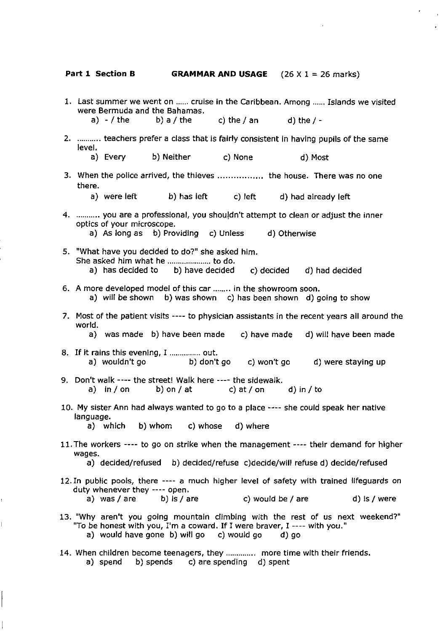|  | Part 1 Section B | <b>GRAMMAR AND USAGE</b> | $(26 \times 1 = 26 \text{ marks})$ |
|--|------------------|--------------------------|------------------------------------|
|--|------------------|--------------------------|------------------------------------|

1. Last summer we went on ...... cruise in the Caribbean. Among ...... Islands we visited were Bermuda and the Bahamas. a)  $-$  / the b) a / the c) the / an d) the / -2. ........... teachers prefer a class that is fairly consistent in having pupils of the same level. a) Every b) Neither c) None d) Most 3. When the police arrived, the thieves ................. the house. There was no one there. a) were left b) has left c) left d) had already left 4. *warrancered you are a professional, you shouldn't attempt to clean or adjust the inner* optics of your microscope. a) As long as b) Providing c) Unless d) Otherwise 5. "What have you decided to do?" she asked him. She asked him what he ....................... to do. a) has decided to b) have decided c) decided d) had decided 6. A more developed model of this car ........in the showroom soon. a) wili be shown b) was shown c) has been shown d) going to show 7. Most of the patient visits ---- to physician assistants in the recent years ali around the world. a) was made b) have been made c) have made d) wili have been made 8. If it rains this evening, I ............... out. a) wouldn't go b) don't go c) won't go d) were staying up 9. Don't walk ---- the street! Walk here ---- the sidewalk.<br>a) in / on b) on / at c) at / on a) in/on b)on/at c)at/on d)in/to 10. My sister Ann had aiways wanted to go to a place ---- she could speak her native language. a) which b) whom c) whose d) where 11.The workers ---- to go on strike when the management ---- their demand for higher wages. a) decided/refused b) decided/refuse c)decide/wiil refuse d) decide/refused 12.In public pools, there ---- a much higher levei of safety with trained Ilfeguards on duty whenever they ---- open. a) was / are b) is / are c) would be / are d) is / were 13. "Why aren't you going mountain ciimbing with the rest of us next weekend?" "To be honest with you, I'm a coward. If I were braver, I ---- with you." a) would have gone b) will go c) would go d) go 14. When children become teenagers, they .............. more time with their friends. a) spend b) spends c) are spending d) spent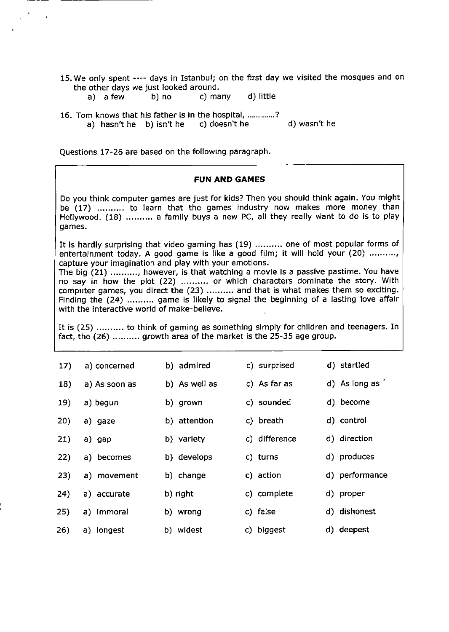- 15. We oniy spent ---- days in Istanbul; on the first day we visited the mosques and on the other days we just looked around.
	- a) a few b) no c) many d) little
- 16. Tom knows that his father is in the hospital, ............? a) hasn't he b) isn't he c) doesn't he d) wasn't he

Questions 17-26 are based on the foliowing paragraph.

#### **FUN AND GAMES**

Da you think computer games are just for kids? Then you should think again. You might be (17) .......... to learn that the games industry now makes more money than Hollywood. (18) .......... a family buys a new PC, all they really want to do is to play games.

It is hardly surprising that video gaming has (19) .......... one of most popular forms of entertainment today. A good game is like a good film; it will hold your (20) .........., capture your imagination and play with your emotions.

The big (21) .........., however, is that watching a movie is a passive pastime. You have no say in how the plot (22) .......... or which characters dominate the story. With computer games, you direct the (23) ......... and that is what makes them so exciting. Finding the (24) ......... game is likely to signal the beginning of a lasting love affair with the interactive world of make-believe.

It is (25) ......... to think of gaming as something simply for children and teenagers. In fact, the (26) ......... growth area of the market is the 25-35 age group.

| 17) | a) concerned  | b) admired    | c) surprised  | d) startled    |
|-----|---------------|---------------|---------------|----------------|
| 18) | a) As soon as | b) As well as | c) As far as  | d) As long as  |
| 19) | a) begun      | b) grown      | c) sounded    | d) become      |
| 20) | a) gaze       | b) attention  | c) breath     | d) control     |
| 21) | a) gap        | b) variety    | c) difference | d) direction   |
| 22) | a) becomes    | b) develops   | c) turns      | d) produces    |
| 23) | a) movement   | b) change     | c) action     | d) performance |
| 24) | a) accurate   | b) right      | c) complete   | d) proper      |
| 25) | a) immoral    | b) wrong      | c) false      | d) dishonest   |
| 26) | a) longest    | b) widest     | c) biggest    | d) deepest     |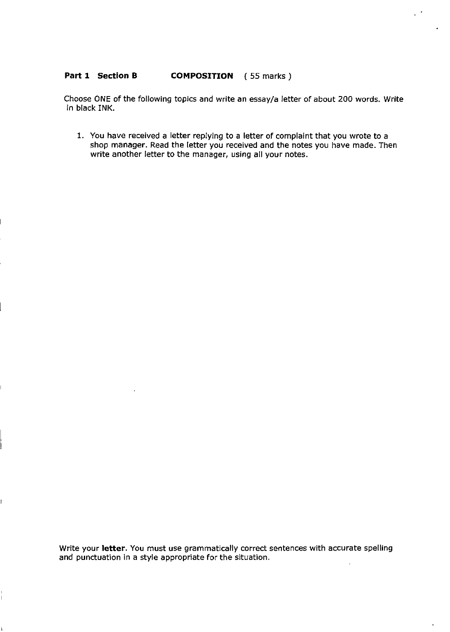#### **Part 1 Section B COMPOSITION** (55 marks)

Choose ONE of the foliowing topics and write an essay/a letter of about 200 words. Write in black INK.

1. You have received a letter repiying to a letter of complaint that you wrote ta a shop manager. Read the letter you received and the notes you have made. Then write another letter to the manager, using all your notes.

Write your letter. You must use grammatically correct sentences with accurate spelling and punctuation in a style appropriate for the situation.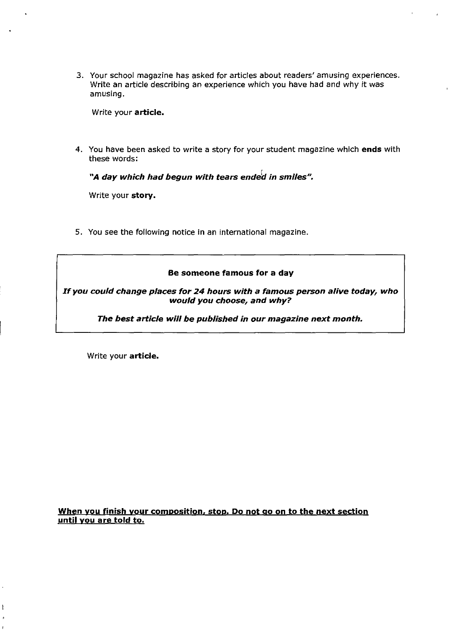3. Your school magazine has asked for articles about readers' amusing experiences. Write an article describing an experience which you have had and why it was amusing.

Write your **article.** 

4. You have been asked to write a story for your student magazine which ends with these words:

**".4 day which had begun with tears ended in smiJes"** 

Write your story.

5. You see the folowing notice in an international magazine.

#### **Be someone famous for a day**

**If you could change places for 24 hours with a famous person alive today, who would you choose, and why?** 

The best article will be published in our magazine next month.

Write your article.

<sup>1</sup>

When you finish your composition, stop. Do not go on to the next section **until you are told to.**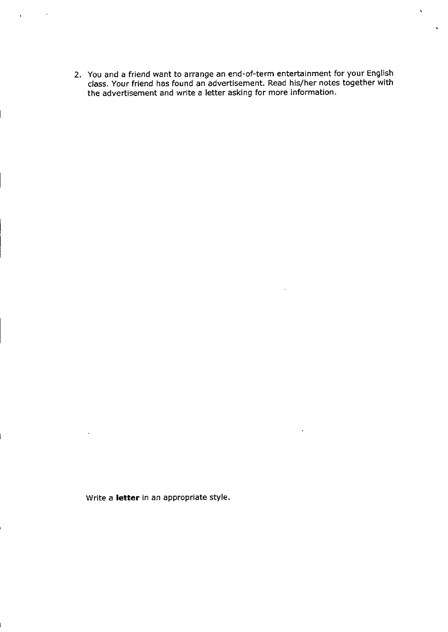2. You and a friend want to arrange an end-of-term entertainment for your English class. Your friend has found an advertisement. Read his/her notes together with the advertisement and write a letter asking for more information.

Write a **letter** in an appropriate style.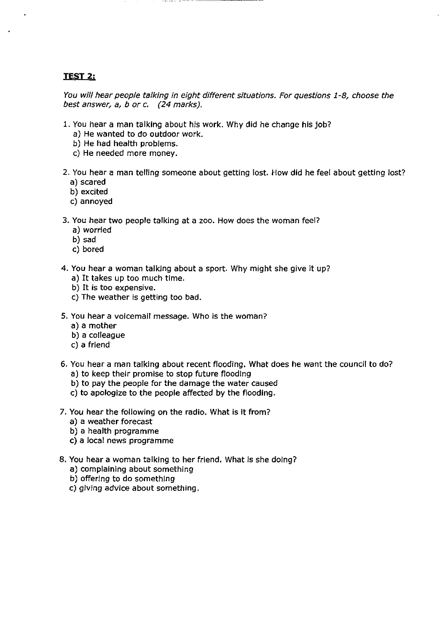#### **TEST 2:**

You will hear people talking in eight different situations. For questions 1-8, choose the best answer, a, b or c. (24 marks).

- 1. You hear a man talking about his work. Why did he change his job?
	- a) He wanted to do outdoor work.
	- b) He had heaith problems.
	- c) He needed more money.
- 2. You hear a man telling someone about getting lost. How did he feel about getting lost? a) scared
	- b) excited
	- c) annoyed
- 3. You hear two people taiking at a zoo. How does the woman feel?
	- a) worried
	- b) sad
	- c) bored
- 4. You hear a woman talking about a sport. Why might she give it up?
	- a) İt takes up too much time.
	- b) İt is too expensive.
	- c) The weather is getting too bad.
- 5. You hear a voicemail message. Who is the woman?
	- a) a mother
	- b) a coileague
	- c) a friend
- 6. You hear a man taiking about recent flooding. What does he warıt the councii to do?
	- a) to keep their promise to stop future fiooding
	- b) to pay the people for the damage the water caused
	- c) to apologize to the people affected by the fiooding.
- 7. You hear the foliowing on the radlo. What is it from?
	- a) a weather forecast
	- b) a health programme
	- c) a local news programme
- 8. You hear a woman talking to her friend. What is she doing?
	- a) compiaining about something
	- b) offering to do something
	- c) giving advice about something.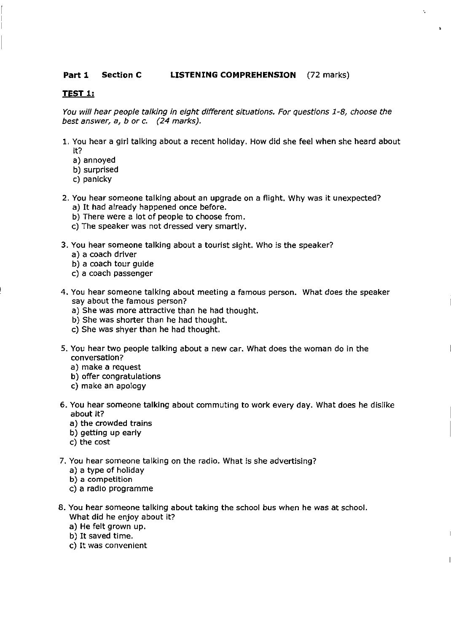#### **Part 1 Section C LISTENING COMPREHENSION** (72 marks)

#### **TEST 1:**

You wili hear people taiking in eight different situations. For questions 1-8, choose the best answer, a, b or c. (24 marks).

k,

 $\mathbf{r}$ 

- 1. You hear a giri talking about a recent holiday. How did she feel when she heard about it?
	- a) annoyed
	- b) surprised
	- c) panicky
- 2. You hear someone talking about an upgrade on a flight. Why was it unexpected? a) It had already happened once before.
	- b) There were a lot of people to choose from.
	- c) The speaker was not dressed very smartly.
- 3. You hear someone talking about a tourist sight. Who is the speaker?
	- a) a coach driver
	- b) a coach tour guide
	- c) a coach passenger
- 4. You hear someone talking about meeting a famous person. What does the speaker say about the famous person?
	- a) She was more attractive than he had thought.
	- b) She was shorter than he had thought.
	- c) She was shyer than he had thought.
- 5. You hear two people talking about a new car. What does the woman do in the conversation?
	- a) make a request
	- b) offer congratulations
	- c) make an apology
- 6. You hear someone talking about commuting to work every day. What does he dislike about it?
	- a) the crowded trains
	- b) getting up early
	- c) the cost
- 7. You hear someone talking on the radio. What is she advertising?
	- a) a type of holiday
	- b) a competition
	- c) a radio programme
- 8. You hear someone talking about taking the school bus when he was at school. What did he enjoy about it?
	- a) He feit grown up.
	- b) İt sayed time.
	- c) It was convenient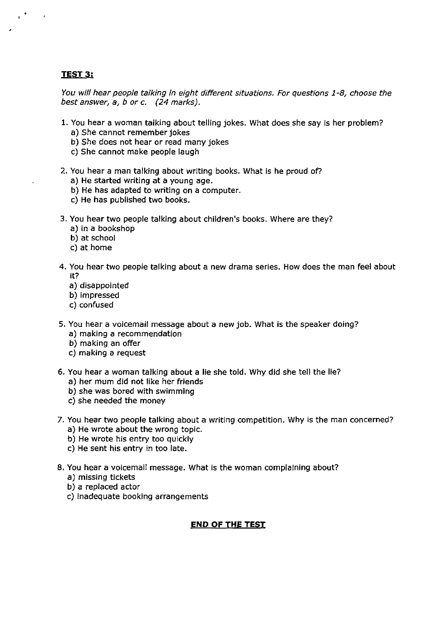### **TEST 3:**

 $\overline{\phantom{a}}$ 

You will hear people talking in eight different situations. For questions 1-8, choose the best answer,  $a, b$  or  $c.$  (24 marks).

- 1. You hear a woman talking about telling jokes. What does she say is her problem?
	- a) She cannot remember jokes
	- b) She does not hear or read many jokes
	- c) She cannot make people Iaugh
- 2. You hear a man talking about writing books. What is he proud of?
	- a) He started writing at a young age.
	- b) He has adapted to writing on a computer.
	- c) He has published two books.
- 3. You hear two people talking about children's books. Where are they?
	- a) in a bookshop
	- b) at school
	- c) at home
- 4. You hear two people talking about a new drama series. How does the man feel about it?
	- a) disappointed
	- b) impressed
	- c) confused
- 5. You hear a volcemail message about a new job. What is the speaker doing?
	- a) making a recommendatlon
	- b) making an offer
	- c) making a request
- 6. You hear a woman talking about a Ile she told. Why did she tell the Iie?
	- a) her mum did not ilke her friends
	- b) she was bored with swimming
	- c) she needed the money
- 7. You hear two people talking about a writing competition. Why is the man concerned? a) He wrote about the wrong topic.
	- b) He wrote his entry too quickly
	- c) He sent his entry in too late.
- 8. You hear a voicemail message. What is the woman complaining about?
	- a) missing tickets
	- b) a replaced actor
	- c) inadequate booking arrangements

#### **END OF THE TEST**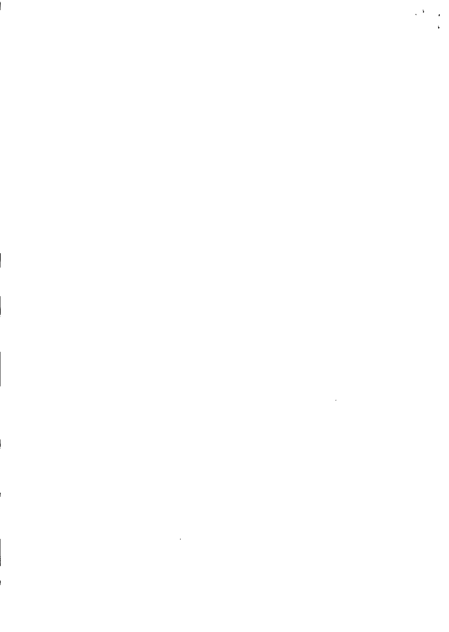$\sqrt{3}$ 

 $\begin{array}{c} 1 \\ 1 \\ 2 \end{array}$ 

 $\label{eq:2.1} \frac{1}{\sqrt{2}}\int_{\mathbb{R}^3} \frac{1}{\sqrt{2}}\left(\frac{1}{\sqrt{2}}\right)^2\frac{1}{\sqrt{2}}\left(\frac{1}{\sqrt{2}}\right)^2\frac{1}{\sqrt{2}}\left(\frac{1}{\sqrt{2}}\right)^2.$ 

 $\mathcal{L}^{\text{max}}_{\text{max}}$  and  $\mathcal{L}^{\text{max}}_{\text{max}}$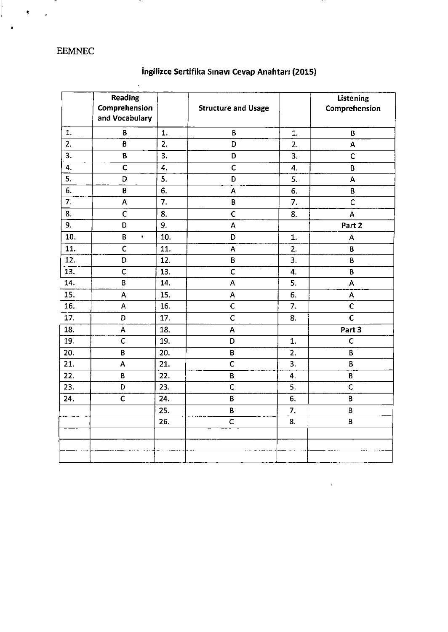## EEMNEC

 $\ddot{\phantom{0}}$ 

<u>т</u>

 $\pmb{\epsilon} = \mathbf{u}$ 

|                  | <b>Reading</b><br>Comprehension<br>and Vocabulary |                   | <b>Structure and Usage</b> |                         | Listening<br>Comprehension |
|------------------|---------------------------------------------------|-------------------|----------------------------|-------------------------|----------------------------|
| 1.               | B                                                 | 1.                | B                          | 1.                      | $\mathbf B$                |
| $\overline{2}$ . | B                                                 | 2.                | D                          | 2.                      | A                          |
| 3.               | B                                                 | 3.                | D                          | 3.                      | $\mathsf{C}$               |
| 4.               | $\mathsf{C}$                                      | 4.                | $\mathsf{C}$               | 4.                      | B                          |
| 5.               | D                                                 | 5.                | D                          | 5.                      | A                          |
| 6.               | $\pmb B$                                          | 6.                | A                          | 6.                      | B                          |
| 7.               | A                                                 | 7.                | $\, {\bf B} \,$            | 7.                      | $\ddot{C}$                 |
| 8.               | $\mathsf{C}$                                      | 8.                | $\mathsf{C}$               | 8.                      | A                          |
| 9.               | D                                                 | 9.                | A                          |                         | Part 2                     |
| 10.              | B<br>$\bullet$                                    | 10.               | D                          | 1.                      | $\boldsymbol{\mathsf{A}}$  |
| 11.              | $\mathsf{C}$                                      | 11.               | A                          | 2.                      | B                          |
| 12.              | D                                                 | 12.               | B                          | 3.                      | B                          |
| 13.              | $\mathsf{C}$                                      | 13.               | $\overline{C}$             | $\overline{\mathbf{4}}$ | $\overline{B}$             |
| 14.              | $\overline{B}$                                    | 14.               | A                          | 5.                      | A                          |
| 15.              | A                                                 | 15.               | A                          | 6.                      | A                          |
| 16.              | A                                                 | 16.               | $\mathsf{C}$               | 7.                      | $\overline{\mathsf{C}}$    |
| 17.              | D                                                 | 17.               | $\mathsf{C}$               | 8.                      | $\overline{\mathsf{c}}$    |
| 18.              | A                                                 | 18.               | Α                          |                         | Part 3                     |
| 19.              | $\overline{\mathsf{c}}$                           | 19.               | D                          | 1.                      | $\mathsf{C}$               |
| 20.              | B                                                 | 20.               | B                          | 2.                      | B                          |
| 21.              | A                                                 | 21.               | $\mathsf C$                | 3.                      | B                          |
| 22.              | B                                                 | 22.               | $\, {\bf B}$               | $\overline{4}$ .        | $\mathsf B$                |
| 23.              | D                                                 | $\overline{23}$ . | $\overline{\mathsf{c}}$    | 5.                      | $\overline{\mathsf{c}}$    |
| 24.              | Ċ                                                 | 24.               | B                          | 6.                      | B                          |
|                  |                                                   | 25.               | $\pmb{\mathsf{B}}$         | 7.                      | $\overline{B}$             |
|                  |                                                   | 26.               | $\mathsf{C}$               | 8.                      | $\, {\bf B} \,$            |
|                  |                                                   |                   |                            |                         |                            |

 $\ddot{\phantom{0}}$ 

## İngilizce Sertifika Sınavı Cevap Anahtarı (2015)